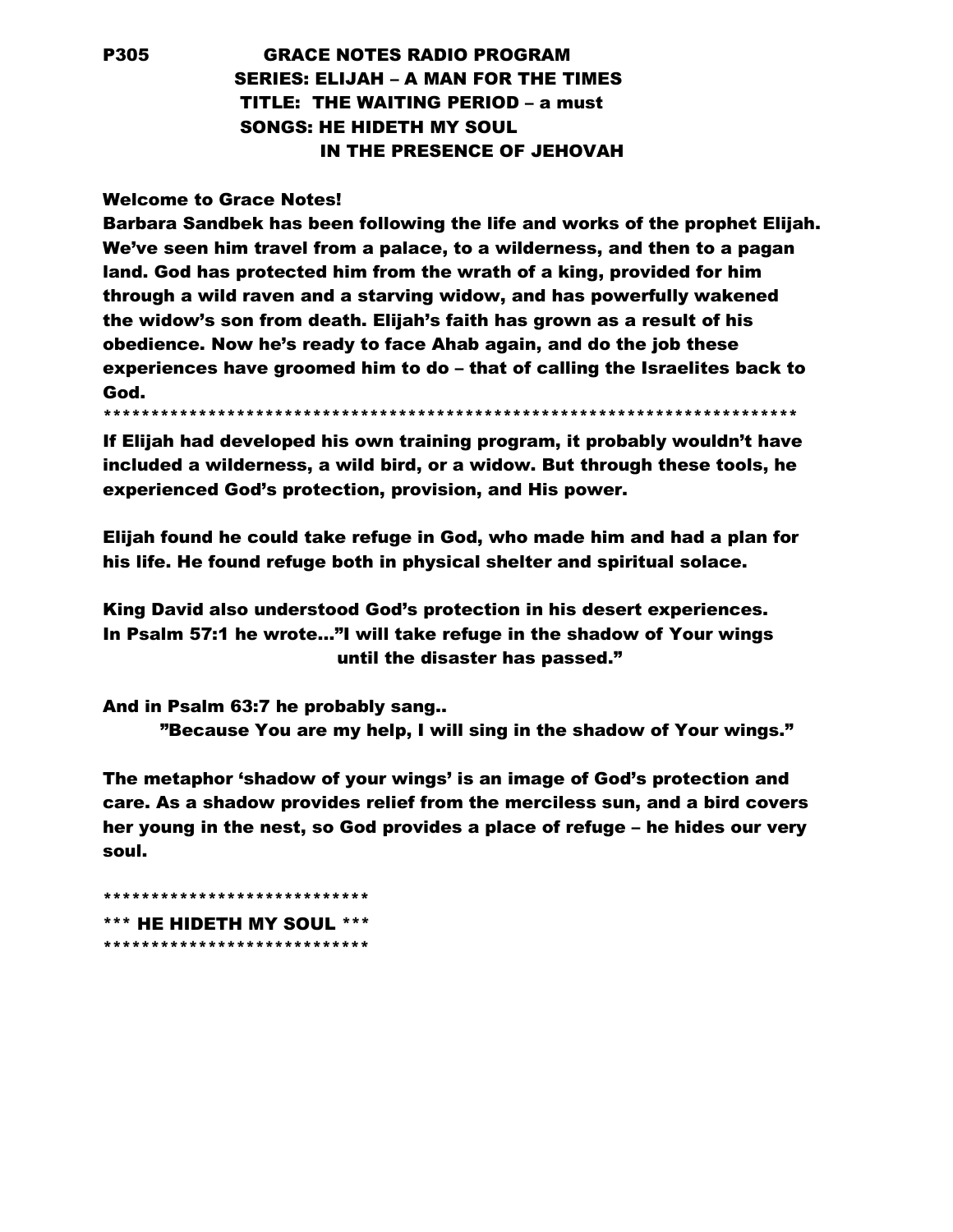## P305 GRACE NOTES RADIO PROGRAM SERIES: ELIJAH – A MAN FOR THE TIMES TITLE: THE WAITING PERIOD – a must SONGS: HE HIDETH MY SOUL IN THE PRESENCE OF JEHOVAH

## Welcome to Grace Notes!

Barbara Sandbek has been following the life and works of the prophet Elijah. We've seen him travel from a palace, to a wilderness, and then to a pagan land. God has protected him from the wrath of a king, provided for him through a wild raven and a starving widow, and has powerfully wakened the widow's son from death. Elijah's faith has grown as a result of his obedience. Now he's ready to face Ahab again, and do the job these experiences have groomed him to do – that of calling the Israelites back to God.

\*\*\*\*\*\*\*\*\*\*\*\*\*\*\*\*\*\*\*\*\*\*\*\*\*\*\*\*\*\*\*\*\*\*\*\*\*\*\*\*\*\*\*\*\*\*\*\*\*\*\*\*\*\*\*\*\*\*\*\*\*\*\*\*\*\*\*\*\*\*\*\*\*

If Elijah had developed his own training program, it probably wouldn't have included a wilderness, a wild bird, or a widow. But through these tools, he experienced God's protection, provision, and His power.

Elijah found he could take refuge in God, who made him and had a plan for his life. He found refuge both in physical shelter and spiritual solace.

King David also understood God's protection in his desert experiences. In Psalm 57:1 he wrote…"I will take refuge in the shadow of Your wings until the disaster has passed."

And in Psalm 63:7 he probably sang.. "Because You are my help, I will sing in the shadow of Your wings."

The metaphor 'shadow of your wings' is an image of God's protection and care. As a shadow provides relief from the merciless sun, and a bird covers her young in the nest, so God provides a place of refuge – he hides our very soul.

\*\*\*\*\*\*\*\*\*\*\*\*\*\*\*\*\*\*\*\*\*\*\*\*\*\*\*\* \*\*\* HE HIDETH MY SOUL \*\*\* \*\*\*\*\*\*\*\*\*\*\*\*\*\*\*\*\*\*\*\*\*\*\*\*\*\*\*\*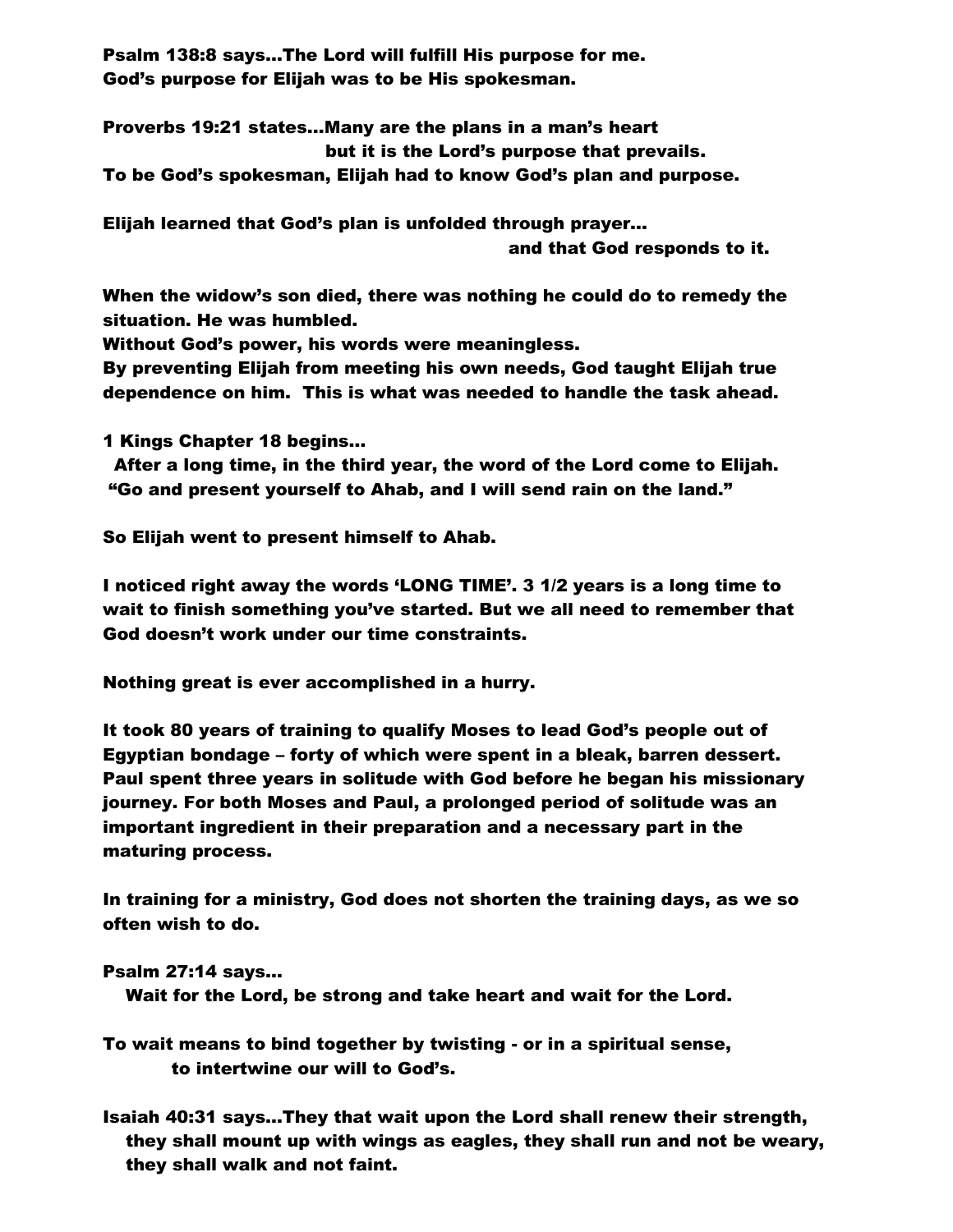Psalm 138:8 says…The Lord will fulfill His purpose for me. God's purpose for Elijah was to be His spokesman.

Proverbs 19:21 states…Many are the plans in a man's heart but it is the Lord's purpose that prevails. To be God's spokesman, Elijah had to know God's plan and purpose.

Elijah learned that God's plan is unfolded through prayer… and that God responds to it.

When the widow's son died, there was nothing he could do to remedy the situation. He was humbled.

Without God's power, his words were meaningless.

By preventing Elijah from meeting his own needs, God taught Elijah true dependence on him. This is what was needed to handle the task ahead.

1 Kings Chapter 18 begins…

 After a long time, in the third year, the word of the Lord come to Elijah. "Go and present yourself to Ahab, and I will send rain on the land."

So Elijah went to present himself to Ahab.

I noticed right away the words 'LONG TIME'. 3 1/2 years is a long time to wait to finish something you've started. But we all need to remember that God doesn't work under our time constraints.

Nothing great is ever accomplished in a hurry.

It took 80 years of training to qualify Moses to lead God's people out of Egyptian bondage – forty of which were spent in a bleak, barren dessert. Paul spent three years in solitude with God before he began his missionary journey. For both Moses and Paul, a prolonged period of solitude was an important ingredient in their preparation and a necessary part in the maturing process.

In training for a ministry, God does not shorten the training days, as we so often wish to do.

## Psalm 27:14 says…

Wait for the Lord, be strong and take heart and wait for the Lord.

To wait means to bind together by twisting - or in a spiritual sense, to intertwine our will to God's.

Isaiah 40:31 says…They that wait upon the Lord shall renew their strength, they shall mount up with wings as eagles, they shall run and not be weary, they shall walk and not faint.